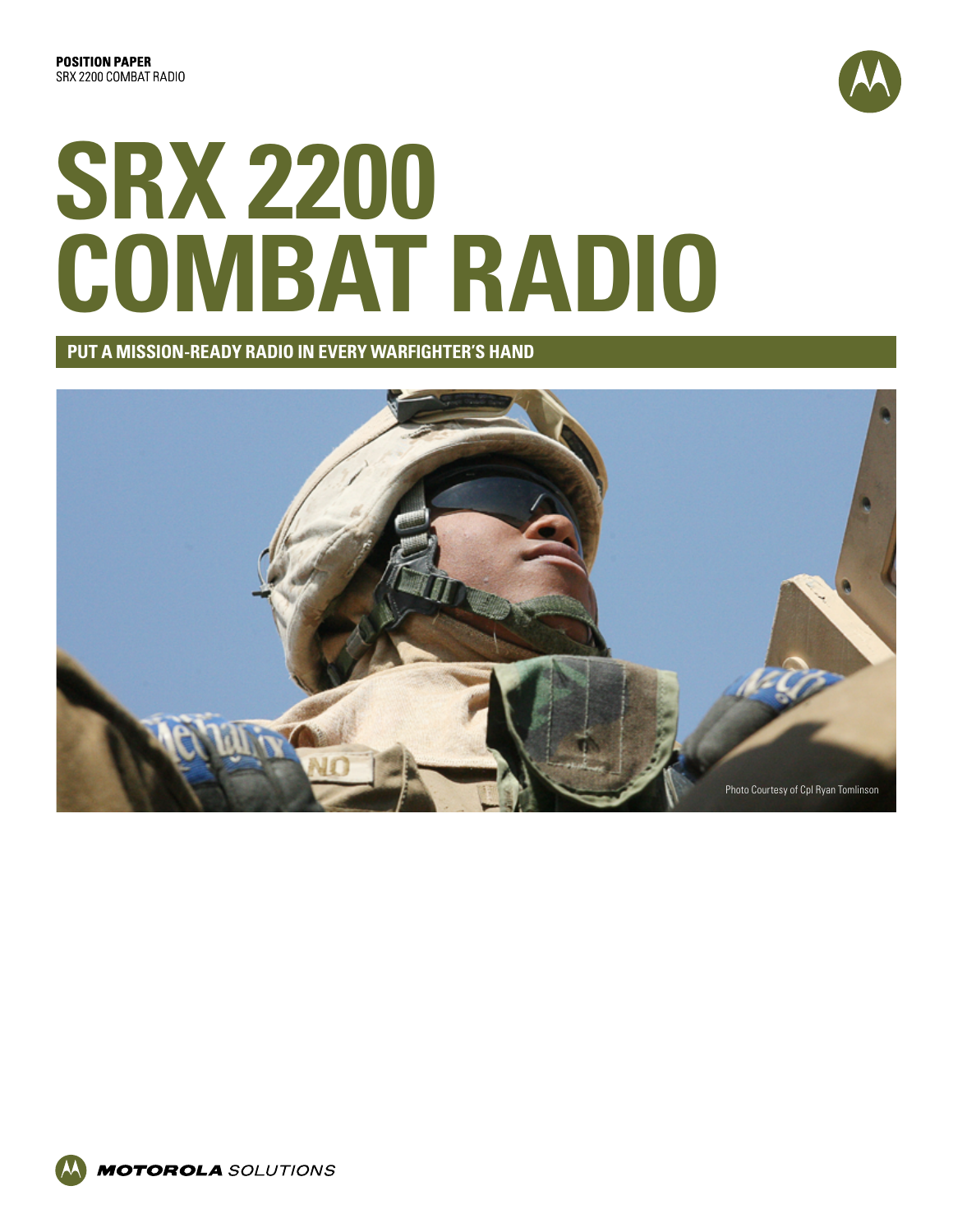

# **SRX 2200 COMBAT RADIO**

**PUT A MISSION-READY RADIO IN EVERY WARFIGHTER'S HAND**

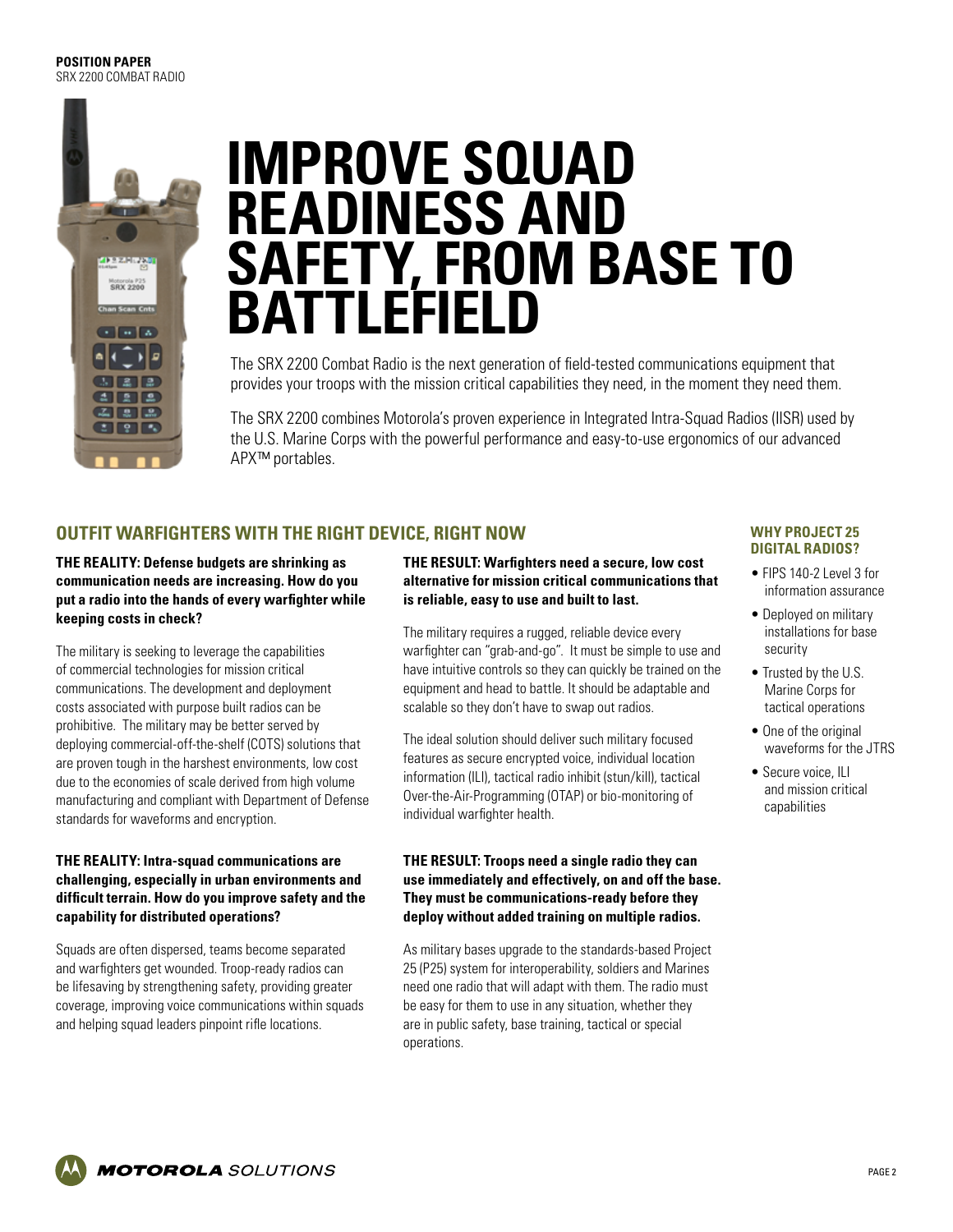

# **IMPROVE SQUAD READINESS AND SAFETY, FROM BASE TO BATTLEFIELD**

The SRX 2200 Combat Radio is the next generation of field-tested communications equipment that provides your troops with the mission critical capabilities they need, in the moment they need them.

The SRX 2200 combines Motorola's proven experience in Integrated Intra-Squad Radios (IISR) used by the U.S. Marine Corps with the powerful performance and easy-to-use ergonomics of our advanced APX™ portables.

# **OUTFIT WARFIGHTERS WITH THE RIGHT DEVICE, RIGHT NOW**

#### **THE REALITY: Defense budgets are shrinking as communication needs are increasing. How do you put a radio into the hands of every warfighter while keeping costs in check?**

The military is seeking to leverage the capabilities of commercial technologies for mission critical communications. The development and deployment costs associated with purpose built radios can be prohibitive. The military may be better served by deploying commercial-off-the-shelf (COTS) solutions that are proven tough in the harshest environments, low cost due to the economies of scale derived from high volume manufacturing and compliant with Department of Defense standards for waveforms and encryption.

#### **THE REALITY: Intra-squad communications are challenging, especially in urban environments and difficult terrain. How do you improve safety and the capability for distributed operations?**

Squads are often dispersed, teams become separated and warfighters get wounded. Troop-ready radios can be lifesaving by strengthening safety, providing greater coverage, improving voice communications within squads and helping squad leaders pinpoint rifle locations.

#### **THE RESULT: Warfighters need a secure, low cost alternative for mission critical communications that is reliable, easy to use and built to last.**

The military requires a rugged, reliable device every warfighter can "grab-and-go". It must be simple to use and have intuitive controls so they can quickly be trained on the equipment and head to battle. It should be adaptable and scalable so they don't have to swap out radios.

The ideal solution should deliver such military focused features as secure encrypted voice, individual location information (ILI), tactical radio inhibit (stun/kill), tactical Over-the-Air-Programming (OTAP) or bio-monitoring of individual warfighter health.

#### **THE RESULT: Troops need a single radio they can use immediately and effectively, on and off the base. They must be communications-ready before they deploy without added training on multiple radios.**

As military bases upgrade to the standards-based Project 25 (P25) system for interoperability, soldiers and Marines need one radio that will adapt with them. The radio must be easy for them to use in any situation, whether they are in public safety, base training, tactical or special operations.

#### **WHY PROJECT 25 DIGITAL RADIOS?**

- FIPS 140-2 Level 3 for information assurance
- Deployed on military installations for base security
- Trusted by the U.S. Marine Corps for tactical operations
- One of the original waveforms for the JTRS
- Secure voice, ILI and mission critical capabilities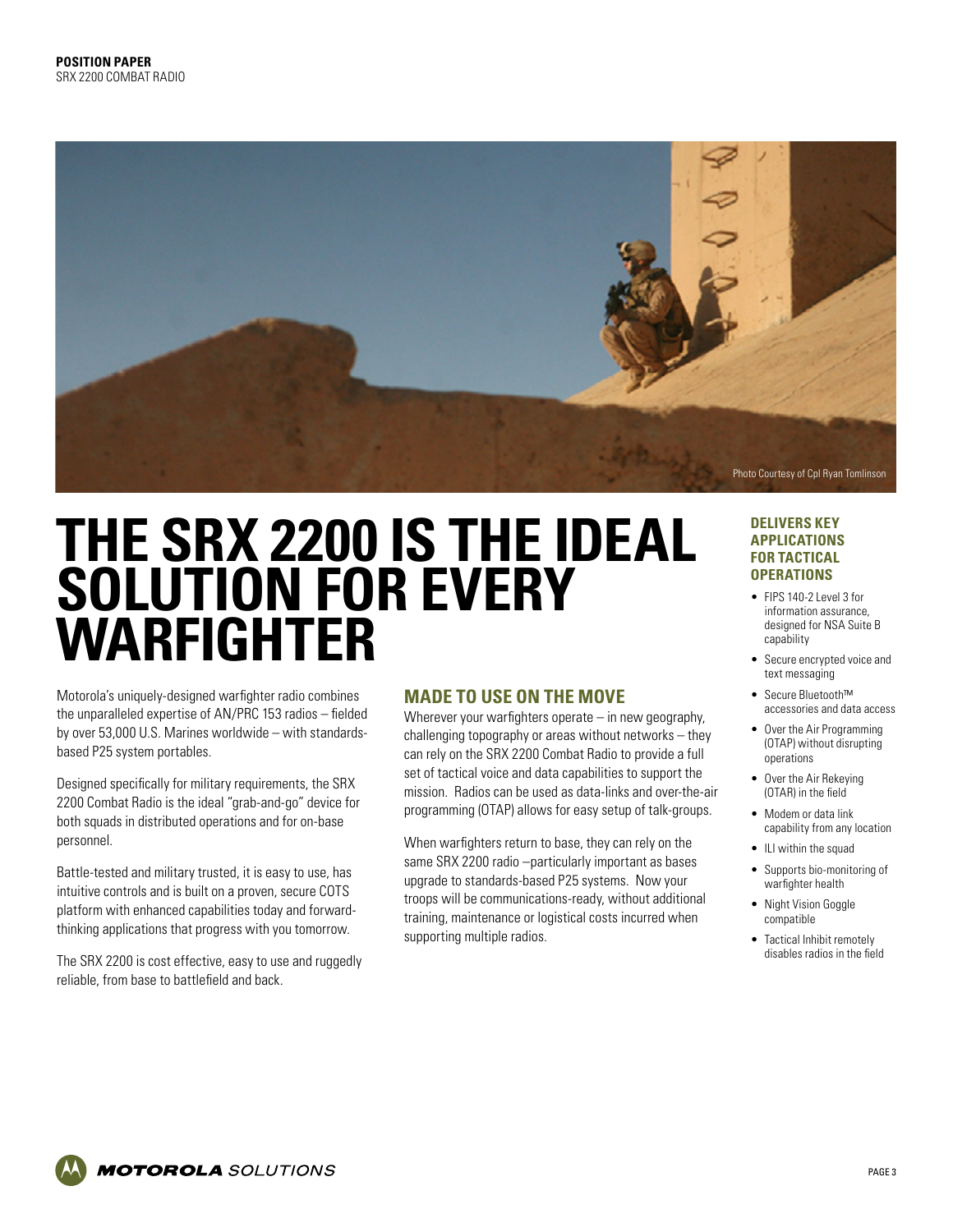

# **THE SRX 2200 IS THE IDEAL SOLUTION FOR EVERY WARFIGHTER**

Motorola's uniquely-designed warfighter radio combines the unparalleled expertise of AN/PRC 153 radios – fielded by over 53,000 U.S. Marines worldwide – with standardsbased P25 system portables.

Designed specifically for military requirements, the SRX 2200 Combat Radio is the ideal "grab-and-go" device for both squads in distributed operations and for on-base personnel.

Battle-tested and military trusted, it is easy to use, has intuitive controls and is built on a proven, secure COTS platform with enhanced capabilities today and forwardthinking applications that progress with you tomorrow.

The SRX 2200 is cost effective, easy to use and ruggedly reliable, from base to battlefield and back.

### **MADE TO USE ON THE MOVE**

Wherever your warfighters operate – in new geography, challenging topography or areas without networks – they can rely on the SRX 2200 Combat Radio to provide a full set of tactical voice and data capabilities to support the mission. Radios can be used as data-links and over-the-air programming (OTAP) allows for easy setup of talk-groups.

When warfighters return to base, they can rely on the same SRX 2200 radio –particularly important as bases upgrade to standards-based P25 systems. Now your troops will be communications-ready, without additional training, maintenance or logistical costs incurred when supporting multiple radios.

#### **DELIVERS KEY APPLICATIONS FOR TACTICAL OPERATIONS**

- FIPS 140-2 Level 3 for information assurance, designed for NSA Suite B capability
- Secure encrypted voice and text messaging
- Secure Bluetooth™ accessories and data access
- Over the Air Programming (OTAP) without disrupting operations
- Over the Air Rekeying (OTAR) in the field
- Modem or data link capability from any location
- ILI within the squad
- Supports bio-monitoring of warfighter health
- Night Vision Goggle compatible
- Tactical Inhibit remotely disables radios in the field